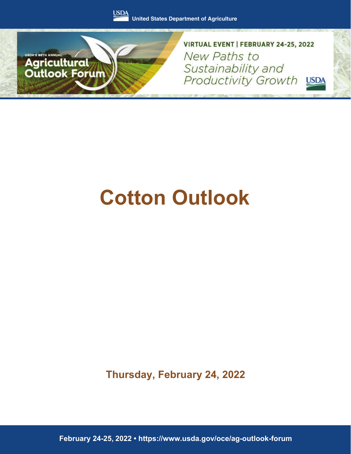



VIRTUAL EVENT | FEBRUARY 24-25, 2022 New Paths to Sustainability and Productivity Growth USDA

# **Cotton Outlook**

**Thursday, February 24, 2022**

February 24-25, 2022 · https://www.usda.gov/oce/ag-outlook-forum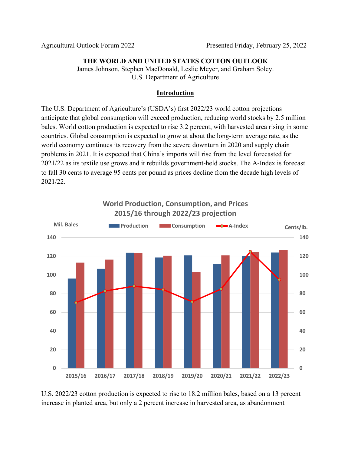#### **THE WORLD AND UNITED STATES COTTON OUTLOOK**

James Johnson, Stephen MacDonald, Leslie Meyer, and Graham Soley. U.S. Department of Agriculture

#### **Introduction**

The U.S. Department of Agriculture's (USDA's) first 2022/23 world cotton projections anticipate that global consumption will exceed production, reducing world stocks by 2.5 million bales. World cotton production is expected to rise 3.2 percent, with harvested area rising in some countries. Global consumption is expected to grow at about the long-term average rate, as the world economy continues its recovery from the severe downturn in 2020 and supply chain problems in 2021. It is expected that China's imports will rise from the level forecasted for 2021/22 as its textile use grows and it rebuilds government-held stocks. The A-Index is forecast to fall 30 cents to average 95 cents per pound as prices decline from the decade high levels of 2021/22.



U.S. 2022/23 cotton production is expected to rise to 18.2 million bales, based on a 13 percent increase in planted area, but only a 2 percent increase in harvested area, as abandonment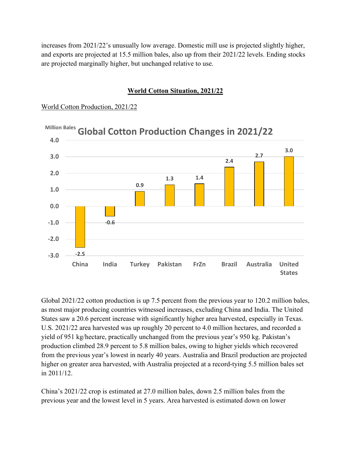increases from 2021/22's unusually low average. Domestic mill use is projected slightly higher, and exports are projected at 15.5 million bales, also up from their 2021/22 levels. Ending stocks are projected marginally higher, but unchanged relative to use.

#### **World Cotton Situation, 2021/22**

World Cotton Production, 2021/22



Global 2021/22 cotton production is up 7.5 percent from the previous year to 120.2 million bales, as most major producing countries witnessed increases, excluding China and India. The United States saw a 20.6 percent increase with significantly higher area harvested, especially in Texas. U.S. 2021/22 area harvested was up roughly 20 percent to 4.0 million hectares, and recorded a yield of 951 kg/hectare, practically unchanged from the previous year's 950 kg. Pakistan's production climbed 28.9 percent to 5.8 million bales, owing to higher yields which recovered from the previous year's lowest in nearly 40 years. Australia and Brazil production are projected higher on greater area harvested, with Australia projected at a record-tying 5.5 million bales set in 2011/12.

China's 2021/22 crop is estimated at 27.0 million bales, down 2.5 million bales from the previous year and the lowest level in 5 years. Area harvested is estimated down on lower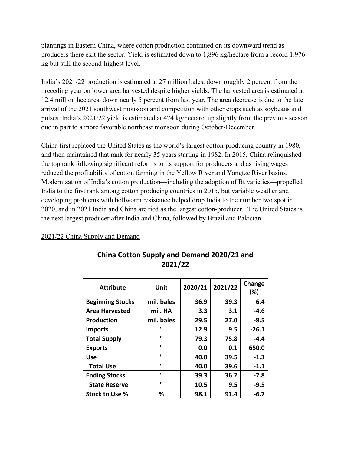plantings in Eastern China, where cotton production continued on its downward trend as producers there exit the sector. Yield is estimated down to 1,896 kg/hectare from a record 1,976 kg but still the second-highest level.

India's 2021/22 production is estimated at 27 million bales, down roughly 2 percent from the preceding year on lower area harvested despite higher yields. The harvested area is estimated at 12.4 million hectares, down nearly 5 percent from last year. The area decrease is due to the late arrival of the 2021 southwest monsoon and competition with other crops such as soybeans and pulses. India's 2021/22 yield is estimated at 474 kg/hectare, up slightly from the previous season due in part to a more favorable northeast monsoon during October-December.

China first replaced the United States as the world's largest cotton-producing country in 1980, and then maintained that rank for nearly 35 years starting in 1982. In 2015, China relinquished the top rank following significant reforms to its support for producers and as rising wages reduced the profitability of cotton farming in the Yellow River and Yangtze River basins. Modernization of India's cotton production—including the adoption of Bt varieties—propelled India to the first rank among cotton producing countries in 2015, but variable weather and developing problems with bollworm resistance helped drop India to the number two spot in 2020, and in 2021 India and China are tied as the largest cotton-producer. The United States is the next largest producer after India and China, followed by Brazil and Pakistan.

#### 2021/22 China Supply and Demand

| <b>Attribute</b>        | Unit         | 2020/21 | 2021/22 | Change<br>(%) |
|-------------------------|--------------|---------|---------|---------------|
| <b>Beginning Stocks</b> | mil. bales   | 36.9    | 39.3    | 6.4           |
| <b>Area Harvested</b>   | mil. HA      | 3.3     | 3.1     | $-4.6$        |
| <b>Production</b>       | mil. bales   | 29.5    | 27.0    | $-8.5$        |
| <b>Imports</b>          | ш            | 12.9    | 9.5     | $-26.1$       |
| <b>Total Supply</b>     | ш            | 79.3    | 75.8    | $-4.4$        |
| <b>Exports</b>          | $\mathbf{u}$ | 0.0     | 0.1     | 650.0         |
| <b>Use</b>              | $\mathbf{u}$ | 40.0    | 39.5    | $-1.3$        |
| <b>Total Use</b>        | $\mathbf{u}$ | 40.0    | 39.6    | $-1.1$        |
| <b>Ending Stocks</b>    | $\mathbf{u}$ | 39.3    | 36.2    | $-7.8$        |
| <b>State Reserve</b>    | $\mathbf{u}$ | 10.5    | 9.5     | $-9.5$        |
| Stock to Use %          | ℅            | 98.1    | 91.4    | -6.7          |

# **China Cotton Supply and Demand 2020/21 and 2021/22**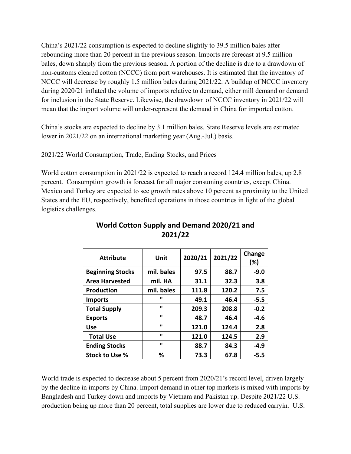China's 2021/22 consumption is expected to decline slightly to 39.5 million bales after rebounding more than 20 percent in the previous season. Imports are forecast at 9.5 million bales, down sharply from the previous season. A portion of the decline is due to a drawdown of non-customs cleared cotton (NCCC) from port warehouses. It is estimated that the inventory of NCCC will decrease by roughly 1.5 million bales during 2021/22. A buildup of NCCC inventory during 2020/21 inflated the volume of imports relative to demand, either mill demand or demand for inclusion in the State Reserve. Likewise, the drawdown of NCCC inventory in 2021/22 will mean that the import volume will under-represent the demand in China for imported cotton.

China's stocks are expected to decline by 3.1 million bales. State Reserve levels are estimated lower in 2021/22 on an international marketing year (Aug.-Jul.) basis.

## 2021/22 World Consumption, Trade, Ending Stocks, and Prices

World cotton consumption in 2021/22 is expected to reach a record 124.4 million bales, up 2.8 percent. Consumption growth is forecast for all major consuming countries, except China. Mexico and Turkey are expected to see growth rates above 10 percent as proximity to the United States and the EU, respectively, benefited operations in those countries in light of the global logistics challenges.

| <b>Attribute</b>        | Unit       | 2020/21 | 2021/22 | Change<br>$(\%)$ |
|-------------------------|------------|---------|---------|------------------|
| <b>Beginning Stocks</b> | mil. bales | 97.5    | 88.7    | $-9.0$           |
| <b>Area Harvested</b>   | mil. HA    | 31.1    | 32.3    | 3.8              |
| <b>Production</b>       | mil. bales | 111.8   | 120.2   | 7.5              |
| <b>Imports</b>          | ш          | 49.1    | 46.4    | $-5.5$           |
| <b>Total Supply</b>     | ш          | 209.3   | 208.8   | $-0.2$           |
| <b>Exports</b>          | ш          | 48.7    | 46.4    | $-4.6$           |
| <b>Use</b>              | ш          | 121.0   | 124.4   | 2.8              |
| <b>Total Use</b>        | ш          | 121.0   | 124.5   | 2.9              |
| <b>Ending Stocks</b>    | ш          | 88.7    | 84.3    | $-4.9$           |
| Stock to Use %          | ℅          | 73.3    | 67.8    | $-5.5$           |

# **World Cotton Supply and Demand 2020/21 and 2021/22**

World trade is expected to decrease about 5 percent from 2020/21's record level, driven largely by the decline in imports by China. Import demand in other top markets is mixed with imports by Bangladesh and Turkey down and imports by Vietnam and Pakistan up. Despite 2021/22 U.S. production being up more than 20 percent, total supplies are lower due to reduced carryin. U.S.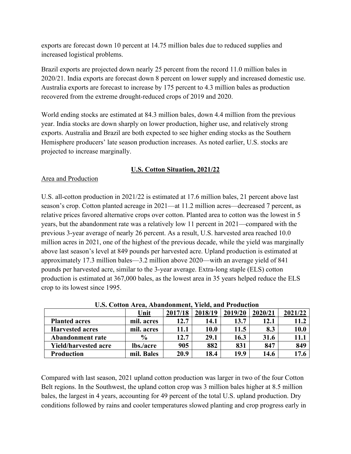exports are forecast down 10 percent at 14.75 million bales due to reduced supplies and increased logistical problems.

Brazil exports are projected down nearly 25 percent from the record 11.0 million bales in 2020/21. India exports are forecast down 8 percent on lower supply and increased domestic use. Australia exports are forecast to increase by 175 percent to 4.3 million bales as production recovered from the extreme drought-reduced crops of 2019 and 2020.

World ending stocks are estimated at 84.3 million bales, down 4.4 million from the previous year. India stocks are down sharply on lower production, higher use, and relatively strong exports. Australia and Brazil are both expected to see higher ending stocks as the Southern Hemisphere producers' late season production increases. As noted earlier, U.S. stocks are projected to increase marginally.

# **U.S. Cotton Situation, 2021/22**

# Area and Production

U.S. all-cotton production in 2021/22 is estimated at 17.6 million bales, 21 percent above last season's crop. Cotton planted acreage in 2021—at 11.2 million acres—decreased 7 percent, as relative prices favored alternative crops over cotton. Planted area to cotton was the lowest in 5 years, but the abandonment rate was a relatively low 11 percent in 2021—compared with the previous 3-year average of nearly 26 percent. As a result, U.S. harvested area reached 10.0 million acres in 2021, one of the highest of the previous decade, while the yield was marginally above last season's level at 849 pounds per harvested acre. Upland production is estimated at approximately 17.3 million bales—3.2 million above 2020—with an average yield of 841 pounds per harvested acre, similar to the 3-year average. Extra-long staple (ELS) cotton production is estimated at 367,000 bales, as the lowest area in 35 years helped reduce the ELS crop to its lowest since 1995.

|                             | <u>Choi Couvon Theugh Thomhadhning Themi mha Ttommethon</u> |         |         |         |         |         |
|-----------------------------|-------------------------------------------------------------|---------|---------|---------|---------|---------|
|                             | Unit                                                        | 2017/18 | 2018/19 | 2019/20 | 2020/21 | 2021/22 |
| <b>Planted acres</b>        | mil. acres                                                  | 12.7    | 14.1    | 13.7    | 12.1    |         |
| <b>Harvested acres</b>      | mil. acres                                                  | 11.1    | 10.0    | 11.5    | 8.3     | 10.0    |
| <b>Abandonment rate</b>     | $\frac{6}{9}$                                               | 12.7    | 29.1    | 16.3    | 31.6    | 11.1    |
| <b>Yield/harvested acre</b> | lbs./acre                                                   | 905     | 882     | 831     | 847     | 849     |
| Production                  | mil. Bales                                                  | 20.9    | 18.4    | 19.9    | 14.6    |         |

**U.S. Cotton Area, Abandonment, Yield, and Production**

Compared with last season, 2021 upland cotton production was larger in two of the four Cotton Belt regions. In the Southwest, the upland cotton crop was 3 million bales higher at 8.5 million bales, the largest in 4 years, accounting for 49 percent of the total U.S. upland production. Dry conditions followed by rains and cooler temperatures slowed planting and crop progress early in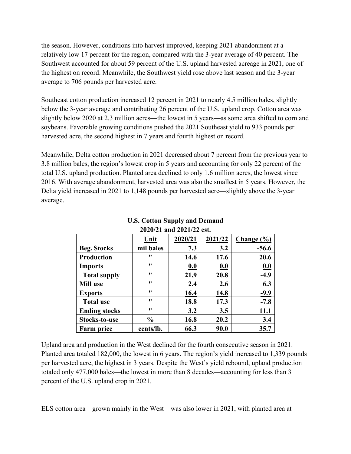the season. However, conditions into harvest improved, keeping 2021 abandonment at a relatively low 17 percent for the region, compared with the 3-year average of 40 percent. The Southwest accounted for about 59 percent of the U.S. upland harvested acreage in 2021, one of the highest on record. Meanwhile, the Southwest yield rose above last season and the 3-year average to 706 pounds per harvested acre.

Southeast cotton production increased 12 percent in 2021 to nearly 4.5 million bales, slightly below the 3-year average and contributing 26 percent of the U.S. upland crop. Cotton area was slightly below 2020 at 2.3 million acres—the lowest in 5 years—as some area shifted to corn and soybeans. Favorable growing conditions pushed the 2021 Southeast yield to 933 pounds per harvested acre, the second highest in 7 years and fourth highest on record.

Meanwhile, Delta cotton production in 2021 decreased about 7 percent from the previous year to 3.8 million bales, the region's lowest crop in 5 years and accounting for only 22 percent of the total U.S. upland production. Planted area declined to only 1.6 million acres, the lowest since 2016. With average abandonment, harvested area was also the smallest in 5 years. However, the Delta yield increased in 2021 to 1,148 pounds per harvested acre—slightly above the 3-year average.

| 2020/21 and 2021/22 est. |               |         |         |                        |  |  |  |
|--------------------------|---------------|---------|---------|------------------------|--|--|--|
|                          | Unit          | 2020/21 | 2021/22 | Change $(\frac{6}{6})$ |  |  |  |
| <b>Beg. Stocks</b>       | mil bales     | 7.3     | 3.2     | $-56.6$                |  |  |  |
| <b>Production</b>        | 11            | 14.6    | 17.6    | 20.6                   |  |  |  |
| <b>Imports</b>           | 11            | 0.0     | 0.0     | 0.0                    |  |  |  |
| <b>Total supply</b>      | 11            | 21.9    | 20.8    | $-4.9$                 |  |  |  |
| <b>Mill use</b>          | 11            | 2.4     | 2.6     | 6.3                    |  |  |  |
| <b>Exports</b>           | 11            | 16.4    | 14.8    | $-9.9$                 |  |  |  |
| <b>Total use</b>         | 11            | 18.8    | 17.3    | $-7.8$                 |  |  |  |
| <b>Ending stocks</b>     | 11            | 3.2     | 3.5     | 11.1                   |  |  |  |
| Stocks-to-use            | $\frac{0}{0}$ | 16.8    | 20.2    | 3.4                    |  |  |  |
| <b>Farm price</b>        | cents/lb.     | 66.3    | 90.0    | 35.7                   |  |  |  |

#### **U.S. Cotton Supply and Demand 2020/21 and 2021/22 est.**

Upland area and production in the West declined for the fourth consecutive season in 2021. Planted area totaled 182,000, the lowest in 6 years. The region's yield increased to 1,339 pounds per harvested acre, the highest in 3 years. Despite the West's yield rebound, upland production totaled only 477,000 bales—the lowest in more than 8 decades—accounting for less than 3 percent of the U.S. upland crop in 2021.

ELS cotton area—grown mainly in the West—was also lower in 2021, with planted area at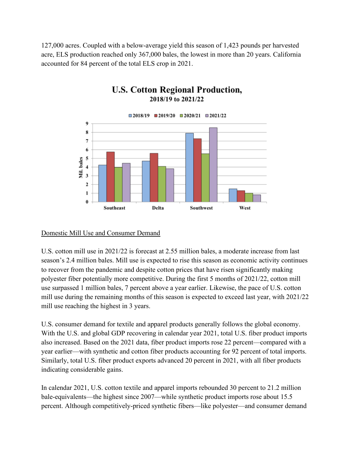127,000 acres. Coupled with a below-average yield this season of 1,423 pounds per harvested acre, ELS production reached only 367,000 bales, the lowest in more than 20 years. California accounted for 84 percent of the total ELS crop in 2021.



# **U.S. Cotton Regional Production,** 2018/19 to 2021/22

#### Domestic Mill Use and Consumer Demand

U.S. cotton mill use in 2021/22 is forecast at 2.55 million bales, a moderate increase from last season's 2.4 million bales. Mill use is expected to rise this season as economic activity continues to recover from the pandemic and despite cotton prices that have risen significantly making polyester fiber potentially more competitive. During the first 5 months of 2021/22, cotton mill use surpassed 1 million bales, 7 percent above a year earlier. Likewise, the pace of U.S. cotton mill use during the remaining months of this season is expected to exceed last year, with 2021/22 mill use reaching the highest in 3 years.

U.S. consumer demand for textile and apparel products generally follows the global economy. With the U.S. and global GDP recovering in calendar year 2021, total U.S. fiber product imports also increased. Based on the 2021 data, fiber product imports rose 22 percent—compared with a year earlier—with synthetic and cotton fiber products accounting for 92 percent of total imports. Similarly, total U.S. fiber product exports advanced 20 percent in 2021, with all fiber products indicating considerable gains.

In calendar 2021, U.S. cotton textile and apparel imports rebounded 30 percent to 21.2 million bale-equivalents—the highest since 2007—while synthetic product imports rose about 15.5 percent. Although competitively-priced synthetic fibers—like polyester—and consumer demand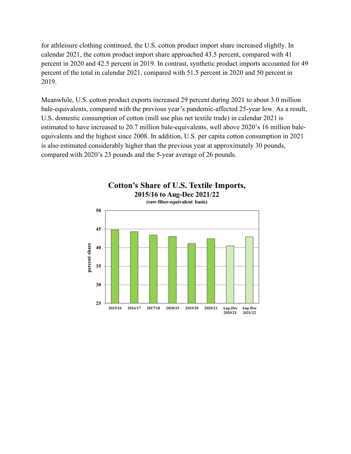for athleisure clothing continued, the U.S. cotton product import share increased slightly. In calendar 2021, the cotton product import share approached 43.5 percent, compared with 41 percent in 2020 and 42.5 percent in 2019. In contrast, synthetic product imports accounted for 49 percent of the total in calendar 2021, compared with 51.5 percent in 2020 and 50 percent in 2019.

Meanwhile, U.S. cotton product exports increased 29 percent during 2021 to about 3.0 million bale-equivalents, compared with the previous year's pandemic-affected 25-year low. As a result, U.S. domestic consumption of cotton (mill use plus net textile trade) in calendar 2021 is estimated to have increased to 20.7 million bale-equivalents, well above 2020's 16 million baleequivalents and the highest since 2008. In addition, U.S. per capita cotton consumption in 2021 is also estimated considerably higher than the previous year at approximately 30 pounds, compared with 2020's 23 pounds and the 5-year average of 26 pounds.

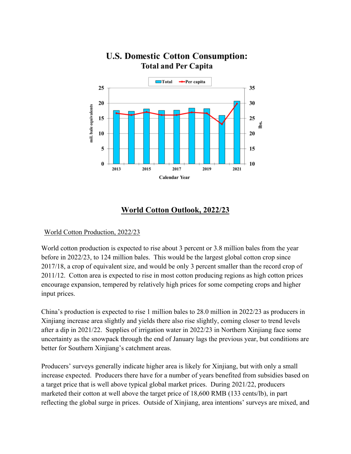

# **U.S. Domestic Cotton Consumption: Total and Per Capita**

# **World Cotton Outlook, 2022/23**

#### World Cotton Production, 2022/23

World cotton production is expected to rise about 3 percent or 3.8 million bales from the year before in 2022/23, to 124 million bales. This would be the largest global cotton crop since 2017/18, a crop of equivalent size, and would be only 3 percent smaller than the record crop of 2011/12. Cotton area is expected to rise in most cotton producing regions as high cotton prices encourage expansion, tempered by relatively high prices for some competing crops and higher input prices.

China's production is expected to rise 1 million bales to 28.0 million in 2022/23 as producers in Xinjiang increase area slightly and yields there also rise slightly, coming closer to trend levels after a dip in 2021/22. Supplies of irrigation water in 2022/23 in Northern Xinjiang face some uncertainty as the snowpack through the end of January lags the previous year, but conditions are better for Southern Xinjiang's catchment areas.

Producers' surveys generally indicate higher area is likely for Xinjiang, but with only a small increase expected. Producers there have for a number of years benefited from subsidies based on a target price that is well above typical global market prices. During 2021/22, producers marketed their cotton at well above the target price of 18,600 RMB (133 cents/lb), in part reflecting the global surge in prices. Outside of Xinjiang, area intentions' surveys are mixed, and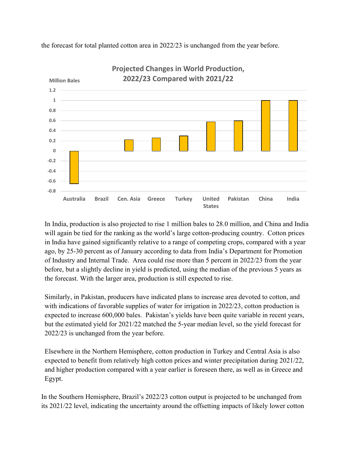

the forecast for total planted cotton area in 2022/23 is unchanged from the year before.

In India, production is also projected to rise 1 million bales to 28.0 million, and China and India will again be tied for the ranking as the world's large cotton-producing country. Cotton prices in India have gained significantly relative to a range of competing crops, compared with a year ago, by 25-30 percent as of January according to data from India's Department for Promotion of Industry and Internal Trade. Area could rise more than 5 percent in 2022/23 from the year before, but a slightly decline in yield is predicted, using the median of the previous 5 years as the forecast. With the larger area, production is still expected to rise.

Similarly, in Pakistan, producers have indicated plans to increase area devoted to cotton, and with indications of favorable supplies of water for irrigation in 2022/23, cotton production is expected to increase 600,000 bales. Pakistan's yields have been quite variable in recent years, but the estimated yield for 2021/22 matched the 5-year median level, so the yield forecast for 2022/23 is unchanged from the year before.

Elsewhere in the Northern Hemisphere, cotton production in Turkey and Central Asia is also expected to benefit from relatively high cotton prices and winter precipitation during 2021/22, and higher production compared with a year earlier is foreseen there, as well as in Greece and Egypt.

In the Southern Hemisphere, Brazil's 2022/23 cotton output is projected to be unchanged from its 2021/22 level, indicating the uncertainty around the offsetting impacts of likely lower cotton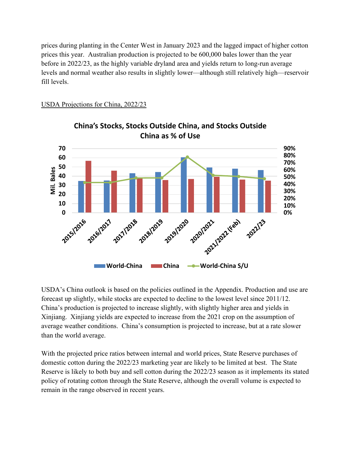prices during planting in the Center West in January 2023 and the lagged impact of higher cotton prices this year. Australian production is projected to be 600,000 bales lower than the year before in 2022/23, as the highly variable dryland area and yields return to long-run average levels and normal weather also results in slightly lower—although still relatively high—reservoir fill levels.

USDA Projections for China, 2022/23



**China's Stocks, Stocks Outside China, and Stocks Outside China as % of Use**

USDA's China outlook is based on the policies outlined in the Appendix. Production and use are forecast up slightly, while stocks are expected to decline to the lowest level since 2011/12. China's production is projected to increase slightly, with slightly higher area and yields in Xinjiang. Xinjiang yields are expected to increase from the 2021 crop on the assumption of average weather conditions. China's consumption is projected to increase, but at a rate slower than the world average.

With the projected price ratios between internal and world prices, State Reserve purchases of domestic cotton during the 2022/23 marketing year are likely to be limited at best. The State Reserve is likely to both buy and sell cotton during the 2022/23 season as it implements its stated policy of rotating cotton through the State Reserve, although the overall volume is expected to remain in the range observed in recent years.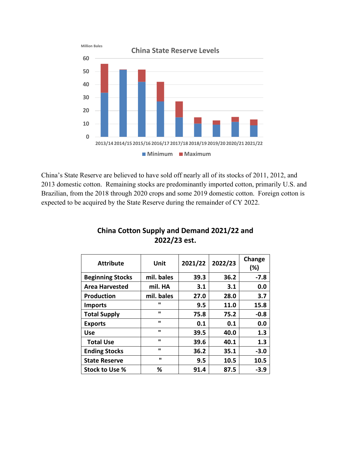

China's State Reserve are believed to have sold off nearly all of its stocks of 2011, 2012, and 2013 domestic cotton. Remaining stocks are predominantly imported cotton, primarily U.S. and Brazilian, from the 2018 through 2020 crops and some 2019 domestic cotton. Foreign cotton is expected to be acquired by the State Reserve during the remainder of CY 2022.

| <b>Attribute</b>        | Unit           | 2021/22 | 2022/23 | Change<br>(%) |
|-------------------------|----------------|---------|---------|---------------|
| <b>Beginning Stocks</b> | mil. bales     | 39.3    | 36.2    | $-7.8$        |
| <b>Area Harvested</b>   | mil. HA        | 3.1     | 3.1     | 0.0           |
| <b>Production</b>       | mil. bales     | 27.0    | 28.0    | 3.7           |
| <b>Imports</b>          | $\blacksquare$ | 9.5     | 11.0    | 15.8          |
| <b>Total Supply</b>     | ш              | 75.8    | 75.2    | $-0.8$        |
| <b>Exports</b>          | $\mathbf{u}$   | 0.1     | 0.1     | 0.0           |
| <b>Use</b>              | ш              | 39.5    | 40.0    | 1.3           |
| <b>Total Use</b>        | $\mathbf{u}$   | 39.6    | 40.1    | 1.3           |
| <b>Ending Stocks</b>    | $\mathbf{u}$   | 36.2    | 35.1    | $-3.0$        |
| <b>State Reserve</b>    | ш              | 9.5     | 10.5    | 10.5          |
| Stock to Use %          | ℅              | 91.4    | 87.5    | $-3.9$        |

# **China Cotton Supply and Demand 2021/22 and 2022/23 est.**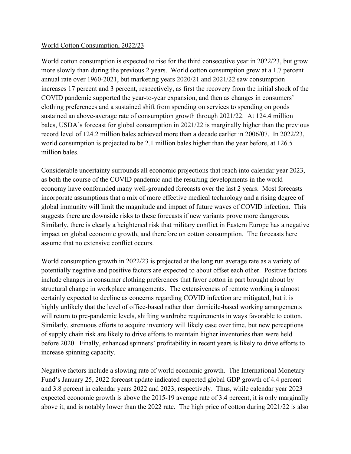#### World Cotton Consumption, 2022/23

World cotton consumption is expected to rise for the third consecutive year in 2022/23, but grow more slowly than during the previous 2 years. World cotton consumption grew at a 1.7 percent annual rate over 1960-2021, but marketing years 2020/21 and 2021/22 saw consumption increases 17 percent and 3 percent, respectively, as first the recovery from the initial shock of the COVID pandemic supported the year-to-year expansion, and then as changes in consumers' clothing preferences and a sustained shift from spending on services to spending on goods sustained an above-average rate of consumption growth through 2021/22. At 124.4 million bales, USDA's forecast for global consumption in 2021/22 is marginally higher than the previous record level of 124.2 million bales achieved more than a decade earlier in 2006/07. In 2022/23, world consumption is projected to be 2.1 million bales higher than the year before, at 126.5 million bales.

Considerable uncertainty surrounds all economic projections that reach into calendar year 2023, as both the course of the COVID pandemic and the resulting developments in the world economy have confounded many well-grounded forecasts over the last 2 years. Most forecasts incorporate assumptions that a mix of more effective medical technology and a rising degree of global immunity will limit the magnitude and impact of future waves of COVID infection. This suggests there are downside risks to these forecasts if new variants prove more dangerous. Similarly, there is clearly a heightened risk that military conflict in Eastern Europe has a negative impact on global economic growth, and therefore on cotton consumption. The forecasts here assume that no extensive conflict occurs.

World consumption growth in 2022/23 is projected at the long run average rate as a variety of potentially negative and positive factors are expected to about offset each other. Positive factors include changes in consumer clothing preferences that favor cotton in part brought about by structural change in workplace arrangements. The extensiveness of remote working is almost certainly expected to decline as concerns regarding COVID infection are mitigated, but it is highly unlikely that the level of office-based rather than domicile-based working arrangements will return to pre-pandemic levels, shifting wardrobe requirements in ways favorable to cotton. Similarly, strenuous efforts to acquire inventory will likely ease over time, but new perceptions of supply chain risk are likely to drive efforts to maintain higher inventories than were held before 2020. Finally, enhanced spinners' profitability in recent years is likely to drive efforts to increase spinning capacity.

Negative factors include a slowing rate of world economic growth. The International Monetary Fund's January 25, 2022 forecast update indicated expected global GDP growth of 4.4 percent and 3.8 percent in calendar years 2022 and 2023, respectively. Thus, while calendar year 2023 expected economic growth is above the 2015-19 average rate of 3.4 percent, it is only marginally above it, and is notably lower than the 2022 rate. The high price of cotton during 2021/22 is also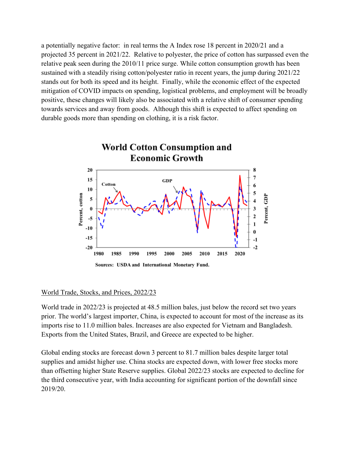a potentially negative factor: in real terms the A Index rose 18 percent in 2020/21 and a projected 35 percent in 2021/22. Relative to polyester, the price of cotton has surpassed even the relative peak seen during the 2010/11 price surge. While cotton consumption growth has been sustained with a steadily rising cotton/polyester ratio in recent years, the jump during 2021/22 stands out for both its speed and its height. Finally, while the economic effect of the expected mitigation of COVID impacts on spending, logistical problems, and employment will be broadly positive, these changes will likely also be associated with a relative shift of consumer spending towards services and away from goods. Although this shift is expected to affect spending on durable goods more than spending on clothing, it is a risk factor.



#### World Trade, Stocks, and Prices, 2022/23

World trade in 2022/23 is projected at 48.5 million bales, just below the record set two years prior. The world's largest importer, China, is expected to account for most of the increase as its imports rise to 11.0 million bales. Increases are also expected for Vietnam and Bangladesh. Exports from the United States, Brazil, and Greece are expected to be higher.

Global ending stocks are forecast down 3 percent to 81.7 million bales despite larger total supplies and amidst higher use. China stocks are expected down, with lower free stocks more than offsetting higher State Reserve supplies. Global 2022/23 stocks are expected to decline for the third consecutive year, with India accounting for significant portion of the downfall since 2019/20.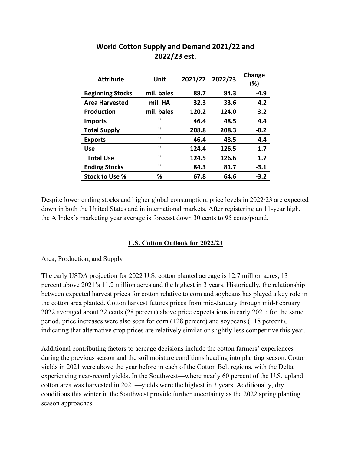| <b>Attribute</b>        | Unit         | 2021/22 | 2022/23 | Change<br>(%) |
|-------------------------|--------------|---------|---------|---------------|
| <b>Beginning Stocks</b> | mil. bales   | 88.7    | 84.3    | $-4.9$        |
| <b>Area Harvested</b>   | mil. HA      | 32.3    | 33.6    | 4.2           |
| <b>Production</b>       | mil. bales   | 120.2   | 124.0   | 3.2           |
| <b>Imports</b>          | $\mathbf{u}$ | 46.4    | 48.5    | 4.4           |
| <b>Total Supply</b>     | $\mathbf{u}$ | 208.8   | 208.3   | $-0.2$        |
| <b>Exports</b>          | $\mathbf{u}$ | 46.4    | 48.5    | 4.4           |
| <b>Use</b>              | $\mathbf{u}$ | 124.4   | 126.5   | 1.7           |
| <b>Total Use</b>        | $\mathbf{u}$ | 124.5   | 126.6   | 1.7           |
| <b>Ending Stocks</b>    | $\mathbf{u}$ | 84.3    | 81.7    | $-3.1$        |
| Stock to Use %          | %            | 67.8    | 64.6    | $-3.2$        |

# **World Cotton Supply and Demand 2021/22 and 2022/23 est.**

Despite lower ending stocks and higher global consumption, price levels in 2022/23 are expected down in both the United States and in international markets. After registering an 11-year high, the A Index's marketing year average is forecast down 30 cents to 95 cents/pound.

## **U.S. Cotton Outlook for 2022/23**

#### Area, Production, and Supply

The early USDA projection for 2022 U.S. cotton planted acreage is 12.7 million acres, 13 percent above 2021's 11.2 million acres and the highest in 3 years. Historically, the relationship between expected harvest prices for cotton relative to corn and soybeans has played a key role in the cotton area planted. Cotton harvest futures prices from mid-January through mid-February 2022 averaged about 22 cents (28 percent) above price expectations in early 2021; for the same period, price increases were also seen for corn (+28 percent) and soybeans (+18 percent), indicating that alternative crop prices are relatively similar or slightly less competitive this year.

Additional contributing factors to acreage decisions include the cotton farmers' experiences during the previous season and the soil moisture conditions heading into planting season. Cotton yields in 2021 were above the year before in each of the Cotton Belt regions, with the Delta experiencing near-record yields. In the Southwest—where nearly 60 percent of the U.S. upland cotton area was harvested in 2021—yields were the highest in 3 years. Additionally, dry conditions this winter in the Southwest provide further uncertainty as the 2022 spring planting season approaches.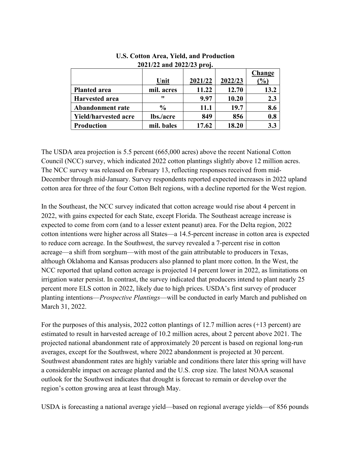|                             |               |         |         | Change          |
|-----------------------------|---------------|---------|---------|-----------------|
|                             | Unit          | 2021/22 | 2022/23 | $\mathcal{O}_0$ |
| <b>Planted area</b>         | mil. acres    | 11.22   | 12.70   | 13.2            |
| <b>Harvested area</b>       | 11            | 9.97    | 10.20   | 2.3             |
| <b>Abandonment rate</b>     | $\frac{0}{0}$ | 11.1    | 19.7    | 8.6             |
| <b>Yield/harvested acre</b> | lbs./acre     | 849     | 856     | 0.8             |
| <b>Production</b>           | mil. bales    | 17.62   | 18.20   | 3.3             |

#### **U.S. Cotton Area, Yield, and Production 2021/22 and 2022/23 proj.**

The USDA area projection is 5.5 percent (665,000 acres) above the recent National Cotton Council (NCC) survey, which indicated 2022 cotton plantings slightly above 12 million acres. The NCC survey was released on February 13, reflecting responses received from mid-December through mid-January. Survey respondents reported expected increases in 2022 upland cotton area for three of the four Cotton Belt regions, with a decline reported for the West region.

In the Southeast, the NCC survey indicated that cotton acreage would rise about 4 percent in 2022, with gains expected for each State, except Florida. The Southeast acreage increase is expected to come from corn (and to a lesser extent peanut) area. For the Delta region, 2022 cotton intentions were higher across all States—a 14.5-percent increase in cotton area is expected to reduce corn acreage. In the Southwest, the survey revealed a 7-percent rise in cotton acreage—a shift from sorghum—with most of the gain attributable to producers in Texas, although Oklahoma and Kansas producers also planned to plant more cotton. In the West, the NCC reported that upland cotton acreage is projected 14 percent lower in 2022, as limitations on irrigation water persist. In contrast, the survey indicated that producers intend to plant nearly 25 percent more ELS cotton in 2022, likely due to high prices. USDA's first survey of producer planting intentions—*Prospective Plantings*—will be conducted in early March and published on March 31, 2022.

For the purposes of this analysis, 2022 cotton plantings of 12.7 million acres (+13 percent) are estimated to result in harvested acreage of 10.2 million acres, about 2 percent above 2021. The projected national abandonment rate of approximately 20 percent is based on regional long-run averages, except for the Southwest, where 2022 abandonment is projected at 30 percent. Southwest abandonment rates are highly variable and conditions there later this spring will have a considerable impact on acreage planted and the U.S. crop size. The latest NOAA seasonal outlook for the Southwest indicates that drought is forecast to remain or develop over the region's cotton growing area at least through May.

USDA is forecasting a national average yield—based on regional average yields—of 856 pounds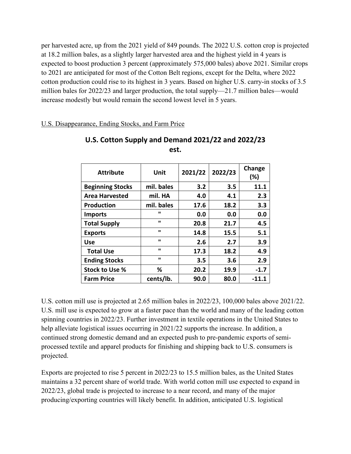per harvested acre, up from the 2021 yield of 849 pounds. The 2022 U.S. cotton crop is projected at 18.2 million bales, as a slightly larger harvested area and the highest yield in 4 years is expected to boost production 3 percent (approximately 575,000 bales) above 2021. Similar crops to 2021 are anticipated for most of the Cotton Belt regions, except for the Delta, where 2022 cotton production could rise to its highest in 3 years. Based on higher U.S. carry-in stocks of 3.5 million bales for 2022/23 and larger production, the total supply—21.7 million bales—would increase modestly but would remain the second lowest level in 5 years.

U.S. Disappearance, Ending Stocks, and Farm Price

| <b>Attribute</b>        | Unit           | 2021/22 | 2022/23 | Change<br>(%) |
|-------------------------|----------------|---------|---------|---------------|
| <b>Beginning Stocks</b> | mil. bales     | 3.2     | 3.5     | 11.1          |
| <b>Area Harvested</b>   | mil. HA        | 4.0     | 4.1     | 2.3           |
| <b>Production</b>       | mil. bales     | 17.6    | 18.2    | 3.3           |
| <b>Imports</b>          | ш              | 0.0     | 0.0     | 0.0           |
| <b>Total Supply</b>     | ш              | 20.8    | 21.7    | 4.5           |
| <b>Exports</b>          | $\mathbf{u}$   | 14.8    | 15.5    | 5.1           |
| <b>Use</b>              | ш              | 2.6     | 2.7     | 3.9           |
| <b>Total Use</b>        | $\blacksquare$ | 17.3    | 18.2    | 4.9           |
| <b>Ending Stocks</b>    | ш              | 3.5     | 3.6     | 2.9           |
| <b>Stock to Use %</b>   | %              | 20.2    | 19.9    | $-1.7$        |
| <b>Farm Price</b>       | cents/lb.      | 90.0    | 80.0    | -11.1         |

# **U.S. Cotton Supply and Demand 2021/22 and 2022/23 est.**

U.S. cotton mill use is projected at 2.65 million bales in 2022/23, 100,000 bales above 2021/22. U.S. mill use is expected to grow at a faster pace than the world and many of the leading cotton spinning countries in 2022/23. Further investment in textile operations in the United States to help alleviate logistical issues occurring in 2021/22 supports the increase. In addition, a continued strong domestic demand and an expected push to pre-pandemic exports of semiprocessed textile and apparel products for finishing and shipping back to U.S. consumers is projected.

Exports are projected to rise 5 percent in 2022/23 to 15.5 million bales, as the United States maintains a 32 percent share of world trade. With world cotton mill use expected to expand in 2022/23, global trade is projected to increase to a near record, and many of the major producing/exporting countries will likely benefit. In addition, anticipated U.S. logistical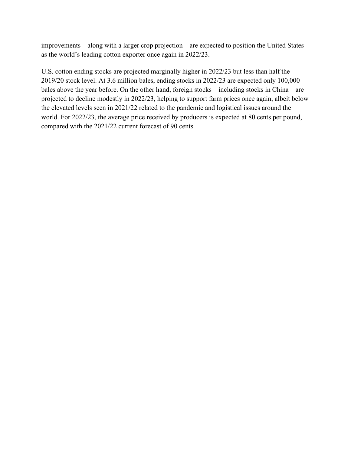improvements—along with a larger crop projection—are expected to position the United States as the world's leading cotton exporter once again in 2022/23.

U.S. cotton ending stocks are projected marginally higher in 2022/23 but less than half the 2019/20 stock level. At 3.6 million bales, ending stocks in 2022/23 are expected only 100,000 bales above the year before. On the other hand, foreign stocks—including stocks in China—are projected to decline modestly in 2022/23, helping to support farm prices once again, albeit below the elevated levels seen in 2021/22 related to the pandemic and logistical issues around the world. For 2022/23, the average price received by producers is expected at 80 cents per pound, compared with the 2021/22 current forecast of 90 cents.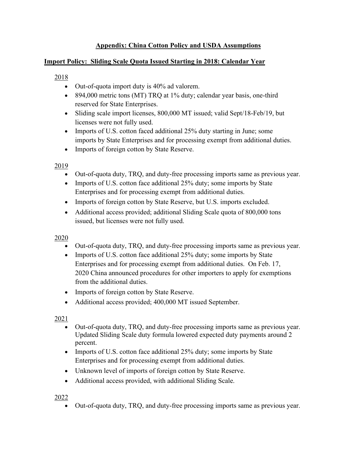# **Appendix: China Cotton Policy and USDA Assumptions**

#### **Import Policy: Sliding Scale Quota Issued Starting in 2018: Calendar Year**

## 2018

- Out-of-quota import duty is 40% ad valorem.
- 894,000 metric tons (MT) TRQ at 1% duty; calendar year basis, one-third reserved for State Enterprises.
- Sliding scale import licenses, 800,000 MT issued; valid Sept/18-Feb/19, but licenses were not fully used.
- Imports of U.S. cotton faced additional 25% duty starting in June; some imports by State Enterprises and for processing exempt from additional duties.
- Imports of foreign cotton by State Reserve.

## 2019

- Out-of-quota duty, TRQ, and duty-free processing imports same as previous year.
- Imports of U.S. cotton face additional 25% duty; some imports by State Enterprises and for processing exempt from additional duties.
- Imports of foreign cotton by State Reserve, but U.S. imports excluded.
- Additional access provided; additional Sliding Scale quota of 800,000 tons issued, but licenses were not fully used.

## 2020

- Out-of-quota duty, TRQ, and duty-free processing imports same as previous year.
- Imports of U.S. cotton face additional 25% duty; some imports by State Enterprises and for processing exempt from additional duties. On Feb. 17, 2020 China announced procedures for other importers to apply for exemptions from the additional duties.
- Imports of foreign cotton by State Reserve.
- Additional access provided; 400,000 MT issued September.

## 2021

- Out-of-quota duty, TRQ, and duty-free processing imports same as previous year. Updated Sliding Scale duty formula lowered expected duty payments around 2 percent.
- Imports of U.S. cotton face additional 25% duty; some imports by State Enterprises and for processing exempt from additional duties.
- Unknown level of imports of foreign cotton by State Reserve.
- Additional access provided, with additional Sliding Scale.

## 2022

• Out-of-quota duty, TRQ, and duty-free processing imports same as previous year.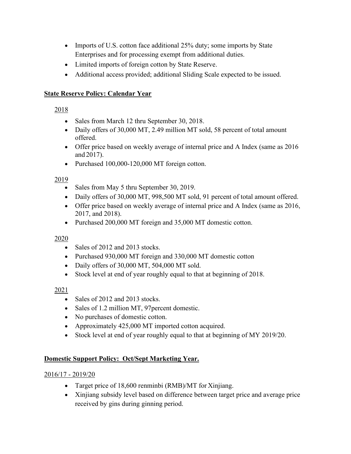- Imports of U.S. cotton face additional 25% duty; some imports by State Enterprises and for processing exempt from additional duties.
- Limited imports of foreign cotton by State Reserve.
- Additional access provided; additional Sliding Scale expected to be issued.

# **State Reserve Policy: Calendar Year**

# 2018

- Sales from March 12 thru September 30, 2018.
- Daily offers of 30,000 MT, 2.49 million MT sold, 58 percent of total amount offered.
- Offer price based on weekly average of internal price and A Index (same as 2016) and 2017).
- Purchased 100,000-120,000 MT foreign cotton.

# 2019

- Sales from May 5 thru September 30, 2019.
- Daily offers of 30,000 MT, 998,500 MT sold, 91 percent of total amount offered.
- Offer price based on weekly average of internal price and A Index (same as 2016, 2017, and 2018).
- Purchased 200,000 MT foreign and 35,000 MT domestic cotton.

# 2020

- Sales of 2012 and 2013 stocks.
- Purchased 930,000 MT foreign and 330,000 MT domestic cotton
- Daily offers of 30,000 MT, 504,000 MT sold.
- Stock level at end of year roughly equal to that at beginning of 2018.

# 2021

- Sales of 2012 and 2013 stocks.
- Sales of 1.2 million MT, 97 percent domestic.
- No purchases of domestic cotton.
- Approximately 425,000 MT imported cotton acquired.
- Stock level at end of year roughly equal to that at beginning of MY 2019/20.

# **Domestic Support Policy: Oct/Sept Marketing Year.**

# 2016/17 - 2019/20

- Target price of 18,600 renminbi (RMB)/MT for Xinjiang.
- Xinjiang subsidy level based on difference between target price and average price received by gins during ginning period.